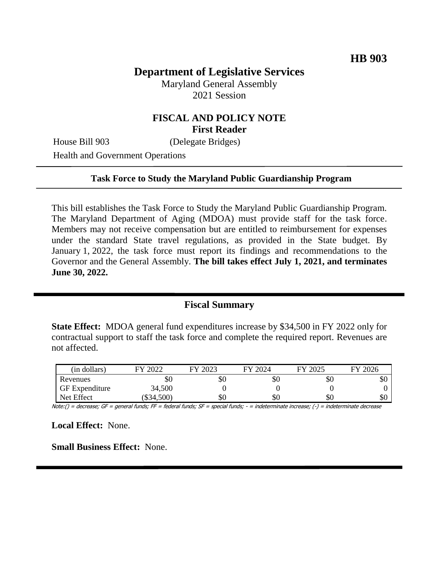# **Department of Legislative Services**

Maryland General Assembly 2021 Session

### **FISCAL AND POLICY NOTE First Reader**

House Bill 903 (Delegate Bridges)

Health and Government Operations

#### **Task Force to Study the Maryland Public Guardianship Program**

This bill establishes the Task Force to Study the Maryland Public Guardianship Program. The Maryland Department of Aging (MDOA) must provide staff for the task force. Members may not receive compensation but are entitled to reimbursement for expenses under the standard State travel regulations, as provided in the State budget. By January 1, 2022, the task force must report its findings and recommendations to the Governor and the General Assembly. **The bill takes effect July 1, 2021, and terminates June 30, 2022.**

### **Fiscal Summary**

**State Effect:** MDOA general fund expenditures increase by \$34,500 in FY 2022 only for contractual support to staff the task force and complete the required report. Revenues are not affected.

| (in dollars)          | 2022         | 2023 | 2024<br>FV | FY 2025 | FY 2026 |
|-----------------------|--------------|------|------------|---------|---------|
| Revenues              | SC           | \$0  | эU         | \$0     | \$0     |
| <b>GF</b> Expenditure | 34,500       |      |            |         |         |
| Net Effect            | $(\$34,500)$ | \$0  | æО         | \$0     | \$0     |

Note:() = decrease; GF = general funds; FF = federal funds; SF = special funds; - = indeterminate increase; (-) = indeterminate decrease

**Local Effect:** None.

**Small Business Effect:** None.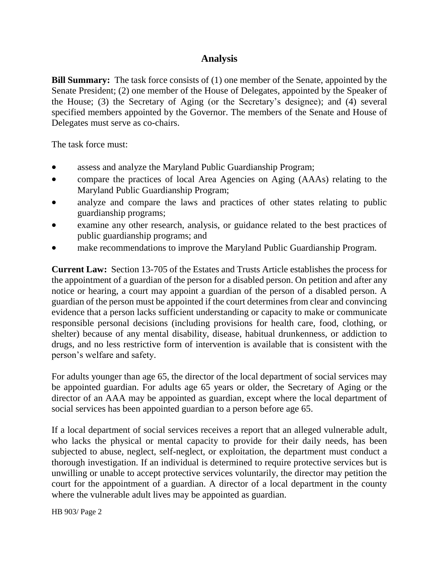# **Analysis**

**Bill Summary:** The task force consists of (1) one member of the Senate, appointed by the Senate President; (2) one member of the House of Delegates, appointed by the Speaker of the House; (3) the Secretary of Aging (or the Secretary's designee); and (4) several specified members appointed by the Governor. The members of the Senate and House of Delegates must serve as co-chairs.

The task force must:

- assess and analyze the Maryland Public Guardianship Program;
- compare the practices of local Area Agencies on Aging (AAAs) relating to the Maryland Public Guardianship Program;
- analyze and compare the laws and practices of other states relating to public guardianship programs;
- examine any other research, analysis, or guidance related to the best practices of public guardianship programs; and
- make recommendations to improve the Maryland Public Guardianship Program.

**Current Law:** Section 13-705 of the Estates and Trusts Article establishes the process for the appointment of a guardian of the person for a disabled person. On petition and after any notice or hearing, a court may appoint a guardian of the person of a disabled person. A guardian of the person must be appointed if the court determines from clear and convincing evidence that a person lacks sufficient understanding or capacity to make or communicate responsible personal decisions (including provisions for health care, food, clothing, or shelter) because of any mental disability, disease, habitual drunkenness, or addiction to drugs, and no less restrictive form of intervention is available that is consistent with the person's welfare and safety.

For adults younger than age 65, the director of the local department of social services may be appointed guardian. For adults age 65 years or older, the Secretary of Aging or the director of an AAA may be appointed as guardian, except where the local department of social services has been appointed guardian to a person before age 65.

If a local department of social services receives a report that an alleged vulnerable adult, who lacks the physical or mental capacity to provide for their daily needs, has been subjected to abuse, neglect, self-neglect, or exploitation, the department must conduct a thorough investigation. If an individual is determined to require protective services but is unwilling or unable to accept protective services voluntarily, the director may petition the court for the appointment of a guardian. A director of a local department in the county where the vulnerable adult lives may be appointed as guardian.

HB 903/ Page 2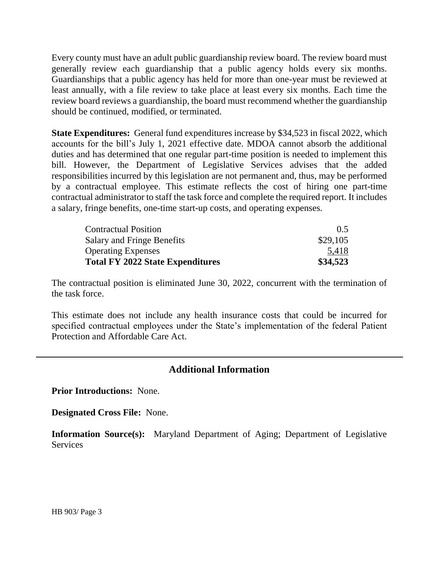Every county must have an adult public guardianship review board. The review board must generally review each guardianship that a public agency holds every six months. Guardianships that a public agency has held for more than one-year must be reviewed at least annually, with a file review to take place at least every six months. Each time the review board reviews a guardianship, the board must recommend whether the guardianship should be continued, modified, or terminated.

**State Expenditures:** General fund expenditures increase by \$34,523 in fiscal 2022, which accounts for the bill's July 1, 2021 effective date. MDOA cannot absorb the additional duties and has determined that one regular part-time position is needed to implement this bill. However, the Department of Legislative Services advises that the added responsibilities incurred by this legislation are not permanent and, thus, may be performed by a contractual employee. This estimate reflects the cost of hiring one part-time contractual administrator to staff the task force and complete the required report. It includes a salary, fringe benefits, one-time start-up costs, and operating expenses*.*

| <b>Contractual Position</b>             | 0.5      |  |
|-----------------------------------------|----------|--|
| Salary and Fringe Benefits              | \$29,105 |  |
| <b>Operating Expenses</b>               | 5,418    |  |
| <b>Total FY 2022 State Expenditures</b> | \$34,523 |  |

The contractual position is eliminated June 30, 2022, concurrent with the termination of the task force.

This estimate does not include any health insurance costs that could be incurred for specified contractual employees under the State's implementation of the federal Patient Protection and Affordable Care Act.

## **Additional Information**

**Prior Introductions:** None.

**Designated Cross File:** None.

**Information Source(s):** Maryland Department of Aging; Department of Legislative **Services**